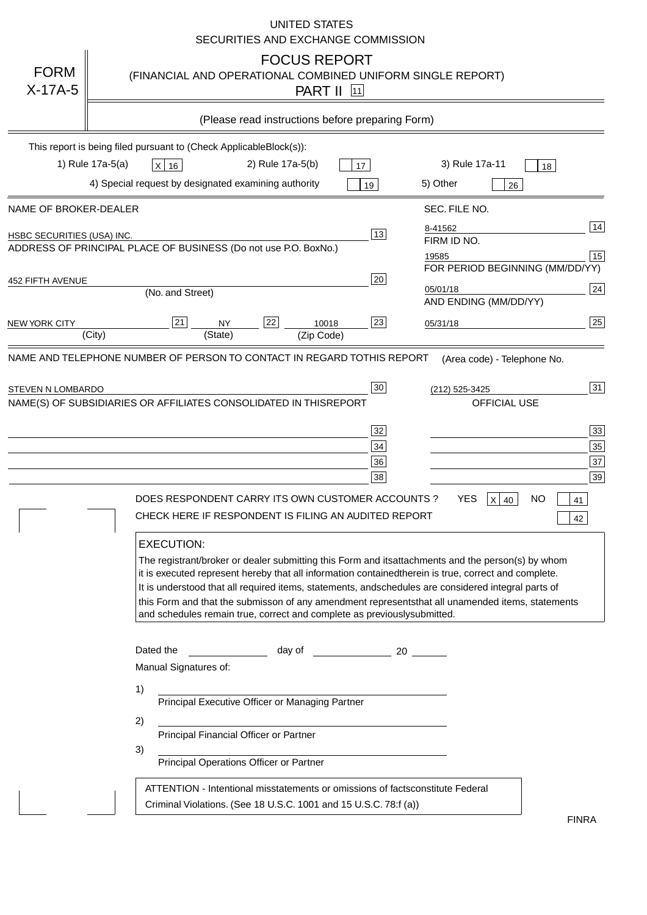|                            | <b>UNITED STATES</b><br>SECURITIES AND EXCHANGE COMMISSION                                                                                                                                                                                                                                                                                                                                                                                                                                                                                                      |
|----------------------------|-----------------------------------------------------------------------------------------------------------------------------------------------------------------------------------------------------------------------------------------------------------------------------------------------------------------------------------------------------------------------------------------------------------------------------------------------------------------------------------------------------------------------------------------------------------------|
| <b>FORM</b><br>$X-17A-5$   | <b>FOCUS REPORT</b><br>(FINANCIAL AND OPERATIONAL COMBINED UNIFORM SINGLE REPORT)<br><b>PART II</b> [11]                                                                                                                                                                                                                                                                                                                                                                                                                                                        |
|                            | (Please read instructions before preparing Form)                                                                                                                                                                                                                                                                                                                                                                                                                                                                                                                |
|                            | This report is being filed pursuant to (Check Applicable<br>$Block(s)$ :<br>1) Rule 17a-5(a)<br>3) Rule 17a-11<br>2) Rule 17a-5(b)<br>$X$ 16<br>17<br>18<br>4) Special request by designated examining authority<br>5) Other<br>19<br>26                                                                                                                                                                                                                                                                                                                        |
| NAME OF BROKER-DEALER      | SEC. FILE NO.                                                                                                                                                                                                                                                                                                                                                                                                                                                                                                                                                   |
| HSBC SECURITIES (USA) INC. | 14<br>8-41562<br>13<br>FIRM ID NO.<br>ADDRESS OF PRINCIPAL PLACE OF BUSINESS (Do not use P.O. Box<br>No.)<br>15<br>19585<br>FOR PERIOD BEGINNING (MM/DD/YY)                                                                                                                                                                                                                                                                                                                                                                                                     |
| <b>452 FIFTH AVENUE</b>    | 20<br> 24 <br>05/01/18<br>(No. and Street)<br>AND ENDING (MM/DD/YY)                                                                                                                                                                                                                                                                                                                                                                                                                                                                                             |
| <b>NEW YORK CITY</b>       | 25<br>22<br>21<br>23<br><b>NY</b><br>10018<br>05/31/18<br>(City)<br>(State)<br>(Zip Code)                                                                                                                                                                                                                                                                                                                                                                                                                                                                       |
| STEVEN N LOMBARDO          | 31<br>30<br>(212) 525-3425<br>NAME(S) OF SUBSIDIARIES OR AFFILIATES CONSOLIDATED IN THIS<br><b>REPORT</b><br><b>OFFICIAL USE</b><br>$\overline{33}$<br>32<br>35<br>$34$<br>37<br>36<br>39<br>38<br>$X$ 40<br>DOES RESPONDENT CARRY ITS OWN CUSTOMER ACCOUNTS?<br>YES<br>NO<br>41<br>CHECK HERE IF RESPONDENT IS FILING AN AUDITED REPORT<br>42                                                                                                                                                                                                                  |
|                            | <b>EXECUTION:</b><br>The registrant/broker or dealer submitting this Form and its<br>attachments and the person(s) by whom<br>it is executed represent hereby that all information contained<br>therein is true, correct and complete.<br>It is understood that all required items, statements, and<br>schedules are considered integral parts of<br>this Form and that the submisson of any amendment represents<br>that all unamended items, statements<br>and schedules remain true, correct and complete as previously<br>submitted.<br>Dated the<br>day of |
|                            | 20<br>Manual Signatures of:<br>1)                                                                                                                                                                                                                                                                                                                                                                                                                                                                                                                               |
|                            | Principal Executive Officer or Managing Partner<br>2)                                                                                                                                                                                                                                                                                                                                                                                                                                                                                                           |
|                            | Principal Financial Officer or Partner<br>3)<br>Principal Operations Officer or Partner                                                                                                                                                                                                                                                                                                                                                                                                                                                                         |
|                            | constitute Federal<br>ATTENTION - Intentional misstatements or omissions of facts<br>Criminal Violations. (See 18 U.S.C. 1001 and 15 U.S.C. 78:f (a)<br>$\lambda$<br><b>FINRA</b>                                                                                                                                                                                                                                                                                                                                                                               |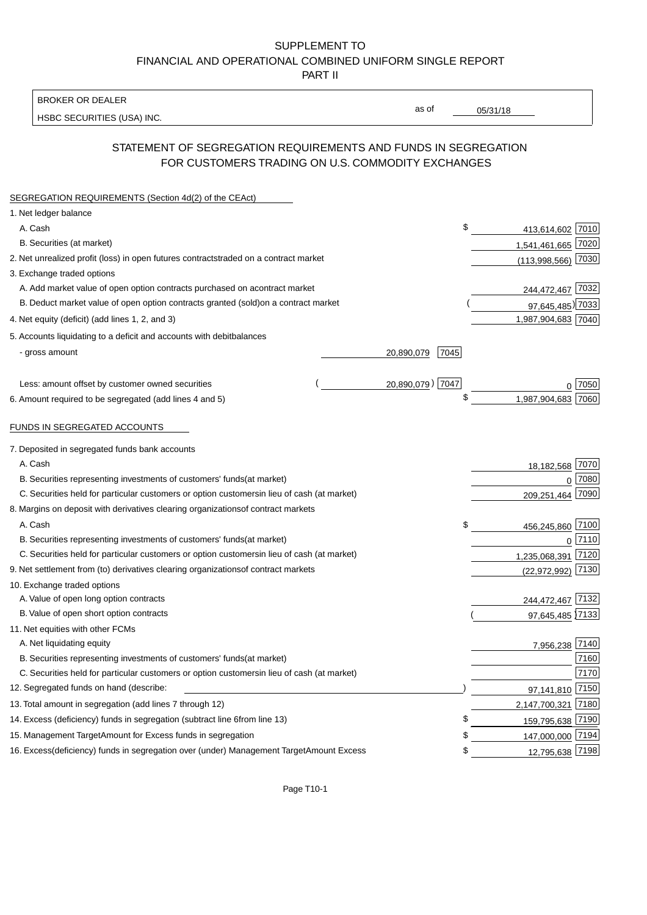### BROKER OR DEALER

HSBC SECURITIES (USA) INC.

05/31/18

as of

# STATEMENT OF SEGREGATION REQUIREMENTS AND FUNDS IN SEGREGATION FOR CUSTOMERS TRADING ON U.S. COMMODITY EXCHANGES

| SEGREGATION REQUIREMENTS (Section 4d(2) of the CEAct)                                          |      |                        |  |
|------------------------------------------------------------------------------------------------|------|------------------------|--|
| 1. Net ledger balance                                                                          |      |                        |  |
| A. Cash                                                                                        | \$   | 413,614,602 7010       |  |
| B. Securities (at market)                                                                      |      | 1,541,461,665 7020     |  |
| 2. Net unrealized profit (loss) in open futures contracts<br>traded on a contract market       |      | $(113,998,566)$ 7030   |  |
| 3. Exchange traded options                                                                     |      |                        |  |
| A. Add market value of open option contracts purchased on a<br>contract market                 |      | 244,472,467 7032       |  |
| B. Deduct market value of open option contracts granted (sold)<br>on a contract market         |      | 97,645,485) 7033       |  |
| 4. Net equity (deficit) (add lines 1, 2, and 3)                                                |      | 1,987,904,683 7040     |  |
| 5. Accounts liquidating to a deficit and accounts with debit<br>balances                       |      |                        |  |
| - gross amount<br>20,890,079                                                                   | 7045 |                        |  |
| 20,890,079) 7047<br>Less: amount offset by customer owned securities                           |      | ∩ 17050                |  |
| 6. Amount required to be segregated (add lines 4 and 5)                                        | S    | 1,987,904,683 7060     |  |
|                                                                                                |      |                        |  |
| FUNDS IN SEGREGATED ACCOUNTS                                                                   |      |                        |  |
| 7. Deposited in segregated funds bank accounts                                                 |      |                        |  |
| A. Cash                                                                                        |      | 7070<br>18,182,568     |  |
| B. Securities representing investments of customers' funds<br>(at market)                      |      | 7080<br>$\Omega$       |  |
| C. Securities held for particular customers or option customers<br>in lieu of cash (at market) |      | 7090<br>209,251,464    |  |
| 8. Margins on deposit with derivatives clearing organizations<br>of contract markets           |      |                        |  |
| A. Cash                                                                                        | \$   | 7100<br>456,245,860    |  |
| B. Securities representing investments of customers' funds<br>(at market)                      |      | 7110<br>$\mathbf 0$    |  |
| C. Securities held for particular customers or option customers<br>in lieu of cash (at market) |      | 7120<br>1,235,068,391  |  |
| 9. Net settlement from (to) derivatives clearing organizations<br>of contract markets          |      | 7130<br>(22, 972, 992) |  |
| 10. Exchange traded options                                                                    |      |                        |  |
| A. Value of open long option contracts                                                         |      | 244,472,467 7132       |  |
| B. Value of open short option contracts                                                        |      | 97,645,485 7133        |  |
| 11. Net equities with other FCMs                                                               |      |                        |  |
| A. Net liquidating equity                                                                      |      | 7,956,238 7140         |  |
| B. Securities representing investments of customers' funds<br>(at market)                      |      | 7160                   |  |
| C. Securities held for particular customers or option customers<br>in lieu of cash (at market) |      | 7170                   |  |
| 12. Segregated funds on hand (describe:                                                        |      | 97,141,810 7150        |  |
| 13. Total amount in segregation (add lines 7 through 12)                                       |      | 2,147,700,321 7180     |  |
| 14. Excess (deficiency) funds in segregation (subtract line 6 from line 13)                    | \$.  | 159,795,638 7190       |  |
| 15. Management Target Amount for Excess funds in segregation                                   | \$   | 147,000,000 7194       |  |
| 16. Excess (deficiency) funds in segregation over (under) Management Target Amount Excess      | \$   | 12,795,638 7198        |  |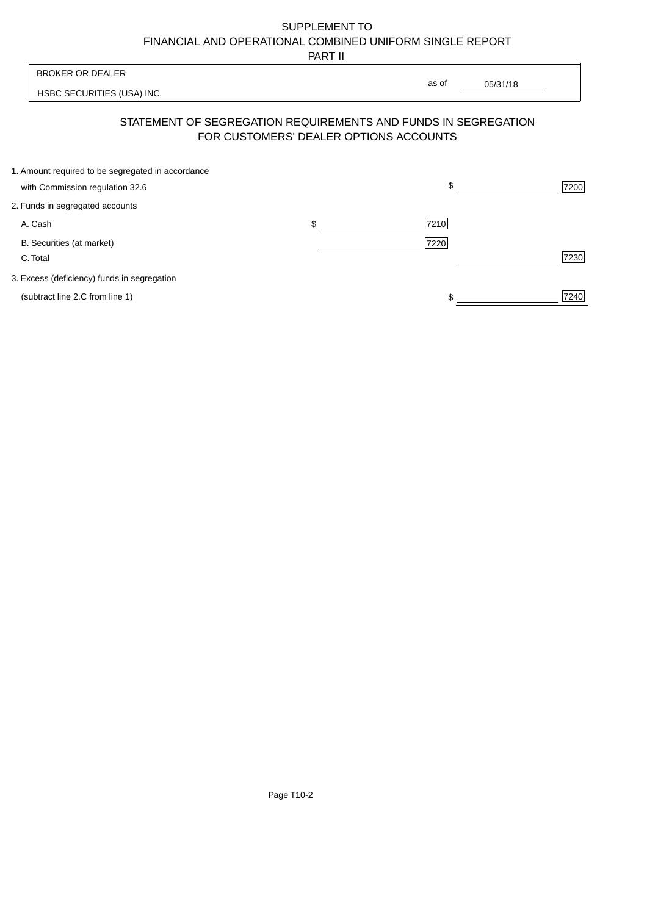PART II

| <b>BROKER OR DEALER</b><br>as of<br>HSBC SECURITIES (USA) INC.                                           | 05/31/18   |
|----------------------------------------------------------------------------------------------------------|------------|
|                                                                                                          |            |
|                                                                                                          |            |
| STATEMENT OF SEGREGATION REQUIREMENTS AND FUNDS IN SEGREGATION<br>FOR CUSTOMERS' DEALER OPTIONS ACCOUNTS |            |
| 1. Amount required to be segregated in accordance                                                        |            |
| with Commission regulation 32.6                                                                          | \$<br>7200 |
| 2. Funds in segregated accounts                                                                          |            |
| 7210<br>A. Cash<br>\$                                                                                    |            |
| B. Securities (at market)<br>7220                                                                        |            |
| C. Total                                                                                                 | 7230       |

3. Excess (deficiency) funds in segregation

(subtract line 2.C from line 1)  $\frac{1}{240}$  $\frac{1}{1}$ 

 $\overline{\mathsf{I}}$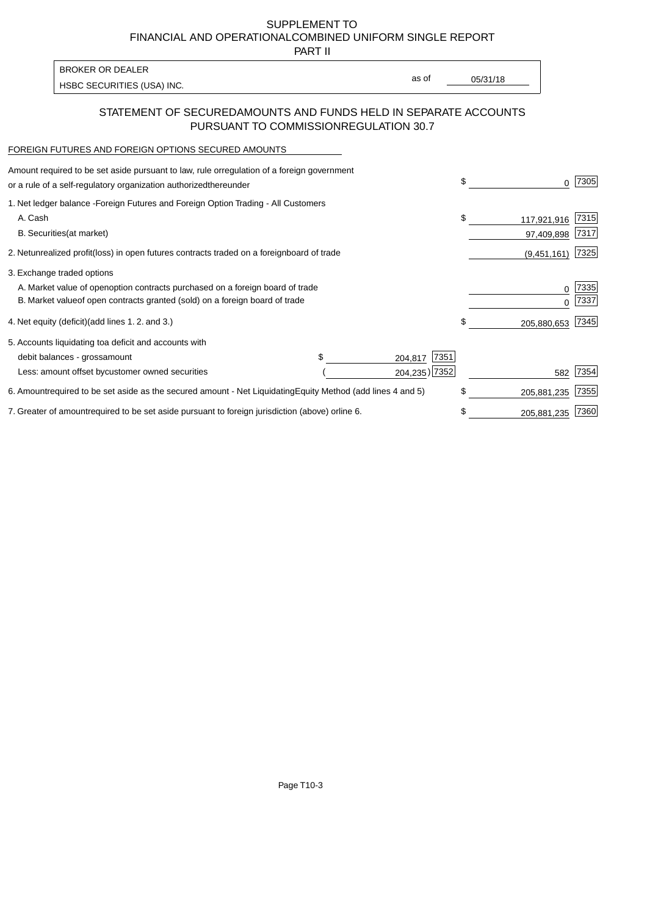PART II

HSBC SECURITIES (USA) INC. The state of the second second in the second second second second second second second second second second second second second second second second second second second second second second sec BROKER OR DEALER

as of

## STATEMENT OF SECURED AMOUNTS AND FUNDS HELD IN SEPARATE ACCOUNTS PURSUANT TO COMMISSION REGULATION 30.7

#### FOREIGN FUTURES AND FOREIGN OPTIONS SECURED AMOUNTS

| Amount required to be set aside pursuant to law, rule or<br>regulation of a foreign government<br>or a rule of a self-regulatory organization authorized<br>thereunder                       |                                   |                                  | \$<br><sup>0</sup>              | 7305         |
|----------------------------------------------------------------------------------------------------------------------------------------------------------------------------------------------|-----------------------------------|----------------------------------|---------------------------------|--------------|
| 1. Net ledger balance - Foreign Futures and Foreign Option Trading - All Customers<br>A. Cash<br><b>B.</b> Securities<br>(at market)                                                         |                                   |                                  | \$<br>117,921,916<br>97,409,898 | 7315<br>7317 |
| unrealized profit (loss) in open futures contracts traded on a foreign board of trade<br>2. Net                                                                                              |                                   |                                  | (9,451,161)                     | 7325         |
| 3. Exchange traded options<br>A. Market value of open option contracts purchased on a foreign board of trade<br>B. Market value of open contracts granted (sold) on a foreign board of trade |                                   |                                  | 0<br>U                          | 7335<br>7337 |
| (add lines 1.2. and 3.)<br>4. Net equity (deficit)                                                                                                                                           |                                   |                                  | \$<br>205,880,653               | 7345         |
| 5. Accounts liquidating to a deficit and accounts with<br>debit balances - gross<br>amount<br>Less: amount offset by customer owned securities                                               |                                   | 7351<br>204,817<br>204,235) 7352 | 582                             | 7354         |
| 6. Amount required to be set aside as the secured amount - Net Liquidating                                                                                                                   | Equity Method (add lines 4 and 5) |                                  | \$<br>205,881,235               | 7355         |
| 7. Greater of amount required to be set aside pursuant to foreign jurisdiction (above) or line 6.                                                                                            |                                   |                                  | 205,881,235                     | 7360         |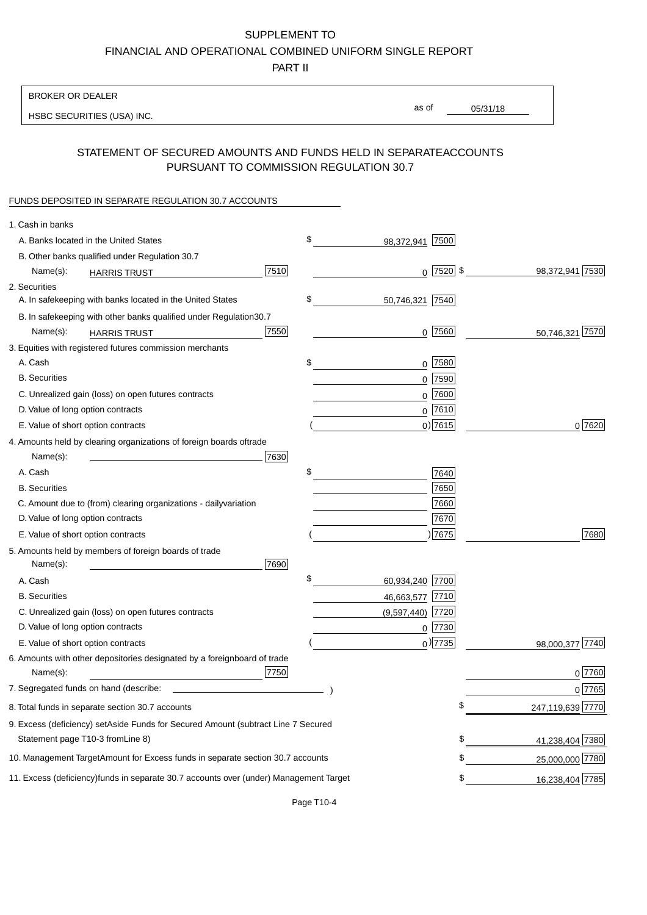PART II

| as of<br>05/31/18<br>HSBC SECURITIES (USA) INC.<br>STATEMENT OF SECURED AMOUNTS AND FUNDS HELD IN SEPARATE<br><b>ACCOUNTS</b><br>PURSUANT TO COMMISSION REGULATION 30.7<br>\$<br>A. Banks located in the United States<br>7500<br>98,372,941<br>B. Other banks qualified under Regulation 30.7<br>$0$ 7520 \$<br>7510<br>98,372,941 7530<br>Name(s):<br><b>HARRIS TRUST</b><br>\$<br>A. In safekeeping with banks located in the United States<br>50,746,321 7540<br>B. In safekeeping with other banks qualified under Regulation<br>30.7<br>7550<br>0 7560<br>50,746,321 7570<br>Name(s):<br><b>HARRIS TRUST</b><br>$0$ 7580<br>A. Cash<br>\$<br><b>B.</b> Securities<br>$0$ 7590<br>C. Unrealized gain (loss) on open futures contracts<br>$0$ 7600<br>$0$ 7610<br>D. Value of long option contracts<br>$0)$ 7615<br>0 7620<br>E. Value of short option contracts<br>trade<br>Name(s):<br>7630<br>\$<br>A. Cash<br>7640<br>7650<br><b>B.</b> Securities<br>7660<br>C. Amount due to (from) clearing organizations - daily<br>variation<br>D. Value of long option contracts<br>7670<br>) 7675<br>7680<br>E. Value of short option contracts<br>Name(s):<br>7690<br>\$<br>60,934,240 7700<br>A. Cash<br><b>B.</b> Securities<br>46,663,577<br> 7710<br>C. Unrealized gain (loss) on open futures contracts<br>$(9,597,440)$ 7720<br>D. Value of long option contracts<br>$0$ 7730<br>$0$ ) 7735<br>98,000,377 7740<br>E. Value of short option contracts<br>board of trade<br>7750<br>0 7760<br>Name(s):<br>7. Segregated funds on hand (describe:<br>$0$ 7765<br>\$<br>247,119,639 7770<br>9. Excess (deficiency) set Aside Funds for Secured Amount (subtract Line 7 Secured | <b>BROKER OR DEALER</b>                                        |  |  |
|----------------------------------------------------------------------------------------------------------------------------------------------------------------------------------------------------------------------------------------------------------------------------------------------------------------------------------------------------------------------------------------------------------------------------------------------------------------------------------------------------------------------------------------------------------------------------------------------------------------------------------------------------------------------------------------------------------------------------------------------------------------------------------------------------------------------------------------------------------------------------------------------------------------------------------------------------------------------------------------------------------------------------------------------------------------------------------------------------------------------------------------------------------------------------------------------------------------------------------------------------------------------------------------------------------------------------------------------------------------------------------------------------------------------------------------------------------------------------------------------------------------------------------------------------------------------------------------------------------------------------------------------------------------------------------|----------------------------------------------------------------|--|--|
|                                                                                                                                                                                                                                                                                                                                                                                                                                                                                                                                                                                                                                                                                                                                                                                                                                                                                                                                                                                                                                                                                                                                                                                                                                                                                                                                                                                                                                                                                                                                                                                                                                                                                  |                                                                |  |  |
|                                                                                                                                                                                                                                                                                                                                                                                                                                                                                                                                                                                                                                                                                                                                                                                                                                                                                                                                                                                                                                                                                                                                                                                                                                                                                                                                                                                                                                                                                                                                                                                                                                                                                  |                                                                |  |  |
|                                                                                                                                                                                                                                                                                                                                                                                                                                                                                                                                                                                                                                                                                                                                                                                                                                                                                                                                                                                                                                                                                                                                                                                                                                                                                                                                                                                                                                                                                                                                                                                                                                                                                  |                                                                |  |  |
|                                                                                                                                                                                                                                                                                                                                                                                                                                                                                                                                                                                                                                                                                                                                                                                                                                                                                                                                                                                                                                                                                                                                                                                                                                                                                                                                                                                                                                                                                                                                                                                                                                                                                  | FUNDS DEPOSITED IN SEPARATE REGULATION 30.7 ACCOUNTS           |  |  |
|                                                                                                                                                                                                                                                                                                                                                                                                                                                                                                                                                                                                                                                                                                                                                                                                                                                                                                                                                                                                                                                                                                                                                                                                                                                                                                                                                                                                                                                                                                                                                                                                                                                                                  | 1. Cash in banks                                               |  |  |
|                                                                                                                                                                                                                                                                                                                                                                                                                                                                                                                                                                                                                                                                                                                                                                                                                                                                                                                                                                                                                                                                                                                                                                                                                                                                                                                                                                                                                                                                                                                                                                                                                                                                                  |                                                                |  |  |
|                                                                                                                                                                                                                                                                                                                                                                                                                                                                                                                                                                                                                                                                                                                                                                                                                                                                                                                                                                                                                                                                                                                                                                                                                                                                                                                                                                                                                                                                                                                                                                                                                                                                                  |                                                                |  |  |
|                                                                                                                                                                                                                                                                                                                                                                                                                                                                                                                                                                                                                                                                                                                                                                                                                                                                                                                                                                                                                                                                                                                                                                                                                                                                                                                                                                                                                                                                                                                                                                                                                                                                                  |                                                                |  |  |
|                                                                                                                                                                                                                                                                                                                                                                                                                                                                                                                                                                                                                                                                                                                                                                                                                                                                                                                                                                                                                                                                                                                                                                                                                                                                                                                                                                                                                                                                                                                                                                                                                                                                                  | 2. Securities                                                  |  |  |
|                                                                                                                                                                                                                                                                                                                                                                                                                                                                                                                                                                                                                                                                                                                                                                                                                                                                                                                                                                                                                                                                                                                                                                                                                                                                                                                                                                                                                                                                                                                                                                                                                                                                                  |                                                                |  |  |
|                                                                                                                                                                                                                                                                                                                                                                                                                                                                                                                                                                                                                                                                                                                                                                                                                                                                                                                                                                                                                                                                                                                                                                                                                                                                                                                                                                                                                                                                                                                                                                                                                                                                                  |                                                                |  |  |
|                                                                                                                                                                                                                                                                                                                                                                                                                                                                                                                                                                                                                                                                                                                                                                                                                                                                                                                                                                                                                                                                                                                                                                                                                                                                                                                                                                                                                                                                                                                                                                                                                                                                                  |                                                                |  |  |
|                                                                                                                                                                                                                                                                                                                                                                                                                                                                                                                                                                                                                                                                                                                                                                                                                                                                                                                                                                                                                                                                                                                                                                                                                                                                                                                                                                                                                                                                                                                                                                                                                                                                                  | 3. Equities with registered futures commission merchants       |  |  |
|                                                                                                                                                                                                                                                                                                                                                                                                                                                                                                                                                                                                                                                                                                                                                                                                                                                                                                                                                                                                                                                                                                                                                                                                                                                                                                                                                                                                                                                                                                                                                                                                                                                                                  |                                                                |  |  |
|                                                                                                                                                                                                                                                                                                                                                                                                                                                                                                                                                                                                                                                                                                                                                                                                                                                                                                                                                                                                                                                                                                                                                                                                                                                                                                                                                                                                                                                                                                                                                                                                                                                                                  |                                                                |  |  |
|                                                                                                                                                                                                                                                                                                                                                                                                                                                                                                                                                                                                                                                                                                                                                                                                                                                                                                                                                                                                                                                                                                                                                                                                                                                                                                                                                                                                                                                                                                                                                                                                                                                                                  |                                                                |  |  |
|                                                                                                                                                                                                                                                                                                                                                                                                                                                                                                                                                                                                                                                                                                                                                                                                                                                                                                                                                                                                                                                                                                                                                                                                                                                                                                                                                                                                                                                                                                                                                                                                                                                                                  |                                                                |  |  |
|                                                                                                                                                                                                                                                                                                                                                                                                                                                                                                                                                                                                                                                                                                                                                                                                                                                                                                                                                                                                                                                                                                                                                                                                                                                                                                                                                                                                                                                                                                                                                                                                                                                                                  |                                                                |  |  |
|                                                                                                                                                                                                                                                                                                                                                                                                                                                                                                                                                                                                                                                                                                                                                                                                                                                                                                                                                                                                                                                                                                                                                                                                                                                                                                                                                                                                                                                                                                                                                                                                                                                                                  | 4. Amounts held by clearing organizations of foreign boards of |  |  |
|                                                                                                                                                                                                                                                                                                                                                                                                                                                                                                                                                                                                                                                                                                                                                                                                                                                                                                                                                                                                                                                                                                                                                                                                                                                                                                                                                                                                                                                                                                                                                                                                                                                                                  |                                                                |  |  |
|                                                                                                                                                                                                                                                                                                                                                                                                                                                                                                                                                                                                                                                                                                                                                                                                                                                                                                                                                                                                                                                                                                                                                                                                                                                                                                                                                                                                                                                                                                                                                                                                                                                                                  |                                                                |  |  |
|                                                                                                                                                                                                                                                                                                                                                                                                                                                                                                                                                                                                                                                                                                                                                                                                                                                                                                                                                                                                                                                                                                                                                                                                                                                                                                                                                                                                                                                                                                                                                                                                                                                                                  |                                                                |  |  |
|                                                                                                                                                                                                                                                                                                                                                                                                                                                                                                                                                                                                                                                                                                                                                                                                                                                                                                                                                                                                                                                                                                                                                                                                                                                                                                                                                                                                                                                                                                                                                                                                                                                                                  |                                                                |  |  |
|                                                                                                                                                                                                                                                                                                                                                                                                                                                                                                                                                                                                                                                                                                                                                                                                                                                                                                                                                                                                                                                                                                                                                                                                                                                                                                                                                                                                                                                                                                                                                                                                                                                                                  |                                                                |  |  |
|                                                                                                                                                                                                                                                                                                                                                                                                                                                                                                                                                                                                                                                                                                                                                                                                                                                                                                                                                                                                                                                                                                                                                                                                                                                                                                                                                                                                                                                                                                                                                                                                                                                                                  |                                                                |  |  |
|                                                                                                                                                                                                                                                                                                                                                                                                                                                                                                                                                                                                                                                                                                                                                                                                                                                                                                                                                                                                                                                                                                                                                                                                                                                                                                                                                                                                                                                                                                                                                                                                                                                                                  | 5. Amounts held by members of foreign boards of trade          |  |  |
|                                                                                                                                                                                                                                                                                                                                                                                                                                                                                                                                                                                                                                                                                                                                                                                                                                                                                                                                                                                                                                                                                                                                                                                                                                                                                                                                                                                                                                                                                                                                                                                                                                                                                  |                                                                |  |  |
|                                                                                                                                                                                                                                                                                                                                                                                                                                                                                                                                                                                                                                                                                                                                                                                                                                                                                                                                                                                                                                                                                                                                                                                                                                                                                                                                                                                                                                                                                                                                                                                                                                                                                  |                                                                |  |  |
|                                                                                                                                                                                                                                                                                                                                                                                                                                                                                                                                                                                                                                                                                                                                                                                                                                                                                                                                                                                                                                                                                                                                                                                                                                                                                                                                                                                                                                                                                                                                                                                                                                                                                  |                                                                |  |  |
|                                                                                                                                                                                                                                                                                                                                                                                                                                                                                                                                                                                                                                                                                                                                                                                                                                                                                                                                                                                                                                                                                                                                                                                                                                                                                                                                                                                                                                                                                                                                                                                                                                                                                  |                                                                |  |  |
|                                                                                                                                                                                                                                                                                                                                                                                                                                                                                                                                                                                                                                                                                                                                                                                                                                                                                                                                                                                                                                                                                                                                                                                                                                                                                                                                                                                                                                                                                                                                                                                                                                                                                  |                                                                |  |  |
|                                                                                                                                                                                                                                                                                                                                                                                                                                                                                                                                                                                                                                                                                                                                                                                                                                                                                                                                                                                                                                                                                                                                                                                                                                                                                                                                                                                                                                                                                                                                                                                                                                                                                  | 6. Amounts with other depositories designated by a foreign     |  |  |
|                                                                                                                                                                                                                                                                                                                                                                                                                                                                                                                                                                                                                                                                                                                                                                                                                                                                                                                                                                                                                                                                                                                                                                                                                                                                                                                                                                                                                                                                                                                                                                                                                                                                                  |                                                                |  |  |
|                                                                                                                                                                                                                                                                                                                                                                                                                                                                                                                                                                                                                                                                                                                                                                                                                                                                                                                                                                                                                                                                                                                                                                                                                                                                                                                                                                                                                                                                                                                                                                                                                                                                                  | 8. Total funds in separate section 30.7 accounts               |  |  |
|                                                                                                                                                                                                                                                                                                                                                                                                                                                                                                                                                                                                                                                                                                                                                                                                                                                                                                                                                                                                                                                                                                                                                                                                                                                                                                                                                                                                                                                                                                                                                                                                                                                                                  |                                                                |  |  |
| Statement page T10-3 from Line 8)<br>\$<br>41,238,404 7380                                                                                                                                                                                                                                                                                                                                                                                                                                                                                                                                                                                                                                                                                                                                                                                                                                                                                                                                                                                                                                                                                                                                                                                                                                                                                                                                                                                                                                                                                                                                                                                                                       |                                                                |  |  |
| \$<br>10. Management Target Amount for Excess funds in separate section 30.7 accounts<br>25,000,000 7780                                                                                                                                                                                                                                                                                                                                                                                                                                                                                                                                                                                                                                                                                                                                                                                                                                                                                                                                                                                                                                                                                                                                                                                                                                                                                                                                                                                                                                                                                                                                                                         |                                                                |  |  |
| 11. Excess (deficiency) funds in separate 30.7 accounts over (under) Management Target<br>16,238,404 7785<br>\$                                                                                                                                                                                                                                                                                                                                                                                                                                                                                                                                                                                                                                                                                                                                                                                                                                                                                                                                                                                                                                                                                                                                                                                                                                                                                                                                                                                                                                                                                                                                                                  |                                                                |  |  |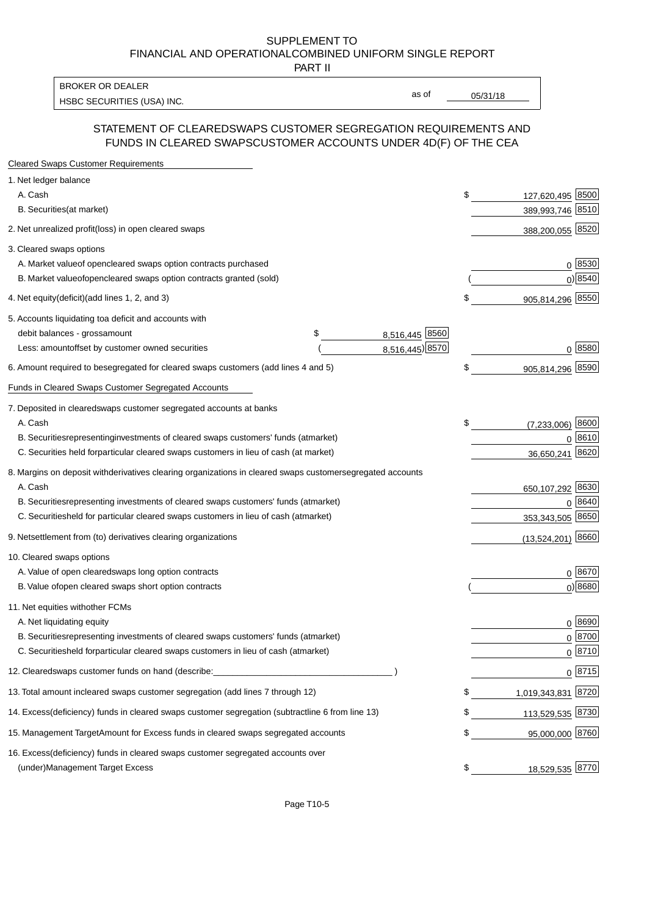PART II

HSBC SECURITIES (USA) INC. The state of the state of the state of the state of the state of the state of the state of the state of the state of the state of the state of the state of the state of the state of the state of BROKER OR DEALER

as of

### STATEMENT OF CLEARED SWAPS CUSTOMER SEGREGATION REQUIREMENTS AND FUNDS IN CLEARED SWAPS CUSTOMER ACCOUNTS UNDER 4D(F) OF THE CEA

| <b>Cleared Swaps Customer Requirements</b>                                                                  |    |                     |
|-------------------------------------------------------------------------------------------------------------|----|---------------------|
| 1. Net ledger balance                                                                                       |    |                     |
| A. Cash                                                                                                     | \$ | 127,620,495 8500    |
| B. Securities (at market)                                                                                   |    | 389,993,746 8510    |
| 2. Net unrealized profit (loss) in open cleared swaps                                                       |    | 388,200,055 8520    |
| 3. Cleared swaps options                                                                                    |    |                     |
| A. Market value of open cleared swaps option contracts purchased                                            |    | 0   8530            |
| B. Market value of open cleared swaps option contracts granted (sold)                                       |    | $0)$ 8540           |
| 4. Net equity (deficit) (add lines 1, 2, and 3)                                                             | \$ | 905,814,296 8550    |
| 5. Accounts liquidating to a deficit and accounts with                                                      |    |                     |
| 8,516,445 8560<br>debit balances - gross<br>\$<br>amount                                                    |    |                     |
| 8,516,445) 8570<br>Less: amount offset by customer owned securities                                         |    | 0 8580              |
| 6. Amount required to be segregated for cleared swaps customers (add lines 4 and 5)                         | \$ | 905,814,296 8590    |
| Funds in Cleared Swaps Customer Segregated Accounts                                                         |    |                     |
| 7. Deposited in cleared swaps customer segregated accounts at banks                                         |    |                     |
| A. Cash                                                                                                     | \$ | 8600<br>(7,233,006) |
| B. Securities representing investments of cleared swaps customers' funds (at market)                        |    | $0^{8610}$          |
| C. Securities held for particular cleared swaps customers in lieu of cash (at market)                       |    | 8620<br>36,650,241  |
| 8. Margins on deposit with derivatives clearing organizations in cleared swaps customer segregated accounts |    |                     |
| A. Cash                                                                                                     |    | 650,107,292 8630    |
| representing investments of cleared swaps customers' funds (at market)<br><b>B.</b> Securities              |    | 8640<br>0           |
| C. Securities held for particular cleared swaps customers in lieu of cash (at market)                       |    | 353,343,505 8650    |
| 9. Net settlement from (to) derivatives clearing organizations                                              |    | $(13,524,201)$ 8660 |
| 10. Cleared swaps options                                                                                   |    |                     |
| A. Value of open cleared swaps long option contracts                                                        |    | $0^{8670}$          |
| B. Value of open cleared swaps short option contracts                                                       |    | $0$ ) 8680          |
| 11. Net equities with other FCMs                                                                            |    |                     |
| A. Net liquidating equity                                                                                   |    | $0^{8690}$          |
| B. Securities representing investments of cleared swaps customers' funds (at market)                        |    | $0^{8700}$          |
| C. Securities held for particular cleared swaps customers in lieu of cash (at market)                       |    | 0 8710              |
| 12. Cleared swaps customer funds on hand (describe:                                                         |    | $0 \;  8715 $       |
| 13. Total amount in cleared swaps customer segregation (add lines 7 through 12)                             | S  | 1,019,343,831 8720  |
| 14. Excess (deficiency) funds in cleared swaps customer segregation (subtract line 6 from line 13)          |    | 113,529,535 8730    |
| 15. Management Target Amount for Excess funds in cleared swaps segregated accounts                          | \$ | 95,000,000 8760     |
| 16. Excess<br>(deficiency) funds in cleared swaps customer segregated accounts over                         |    |                     |
| <b>Management Target Excess</b><br>(under)                                                                  | \$ | 18,529,535 8770     |